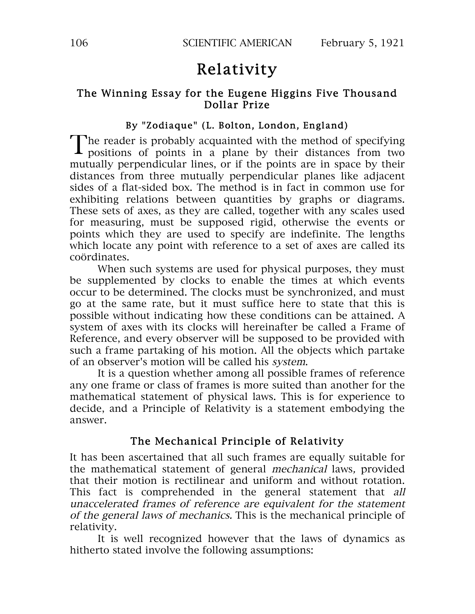# Relativity

## The Winning Essay for the Eugene Higgins Five Thousand Dollar Prize

## By "Zodiaque" (L. Bolton, London, England)

The reader is probably acquainted with the method of specifying The reader is probably acquainted with the method of specifying<br>positions of points in a plane by their distances from two mutually perpendicular lines, or if the points are in space by their distances from three mutually perpendicular planes like adjacent sides of a flat-sided box. The method is in fact in common use for exhibiting relations between quantities by graphs or diagrams. These sets of axes, as they are called, together with any scales used for measuring, must be supposed rigid, otherwise the events or points which they are used to specify are indefinite. The lengths which locate any point with reference to a set of axes are called its coördinates.

When such systems are used for physical purposes, they must be supplemented by clocks to enable the times at which events occur to be determined. The clocks must be synchronized, and must go at the same rate, but it must suffice here to state that this is possible without indicating how these conditions can be attained. A system of axes with its clocks will hereinafter be called a Frame of Reference, and every observer will be supposed to be provided with such a frame partaking of his motion. All the objects which partake of an observer's motion will be called his system.

It is a question whether among all possible frames of reference any one frame or class of frames is more suited than another for the mathematical statement of physical laws. This is for experience to decide, and a Principle of Relativity is a statement embodying the answer.

# The Mechanical Principle of Relativity

It has been ascertained that all such frames are equally suitable for the mathematical statement of general mechanical laws, provided that their motion is rectilinear and uniform and without rotation. This fact is comprehended in the general statement that all unaccelerated frames of reference are equivalent for the statement of the general laws of mechanics. This is the mechanical principle of relativity.

It is well recognized however that the laws of dynamics as hitherto stated involve the following assumptions: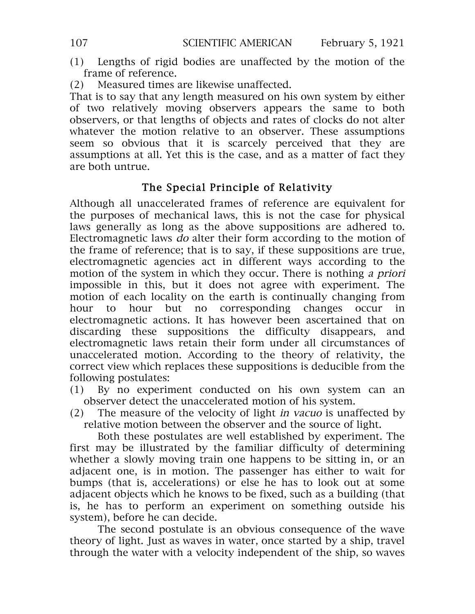- (1) Lengths of rigid bodies are unaffected by the motion of the frame of reference.
- (2) Measured times are likewise unaffected.

That is to say that any length measured on his own system by either of two relatively moving observers appears the same to both observers, or that lengths of objects and rates of clocks do not alter whatever the motion relative to an observer. These assumptions seem so obvious that it is scarcely perceived that they are assumptions at all. Yet this is the case, and as a matter of fact they are both untrue.

# The Special Principle of Relativity

Although all unaccelerated frames of reference are equivalent for the purposes of mechanical laws, this is not the case for physical laws generally as long as the above suppositions are adhered to. Electromagnetic laws do alter their form according to the motion of the frame of reference; that is to say, if these suppositions are true, electromagnetic agencies act in different ways according to the motion of the system in which they occur. There is nothing <sup>a</sup> priori impossible in this, but it does not agree with experiment. The motion of each locality on the earth is continually changing from hour to hour but no corresponding changes occur in electromagnetic actions. It has however been ascertained that on discarding these suppositions the difficulty disappears, and electromagnetic laws retain their form under all circumstances of unaccelerated motion. According to the theory of relativity, the correct view which replaces these suppositions is deducible from the following postulates:

- (1) By no experiment conducted on his own system can an observer detect the unaccelerated motion of his system.
- (2) The measure of the velocity of light in vacuo is unaffected by relative motion between the observer and the source of light.

Both these postulates are well established by experiment. The first may be illustrated by the familiar difficulty of determining whether a slowly moving train one happens to be sitting in, or an adjacent one, is in motion. The passenger has either to wait for bumps (that is, accelerations) or else he has to look out at some adjacent objects which he knows to be fixed, such as a building (that is, he has to perform an experiment on something outside his system), before he can decide.

The second postulate is an obvious consequence of the wave theory of light. Just as waves in water, once started by a ship, travel through the water with a velocity independent of the ship, so waves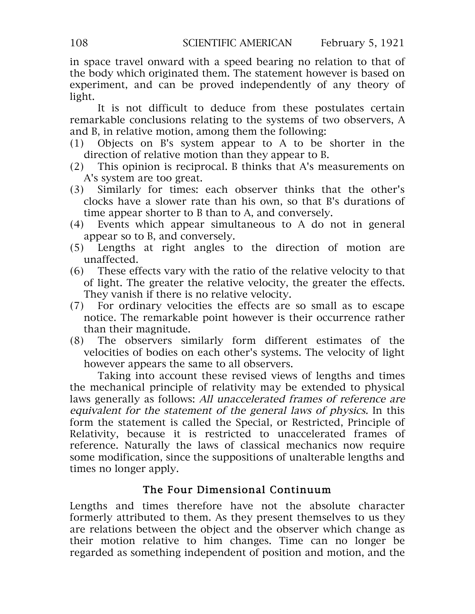in space travel onward with a speed bearing no relation to that of the body which originated them. The statement however is based on experiment, and can be proved independently of any theory of light.

It is not difficult to deduce from these postulates certain remarkable conclusions relating to the systems of two observers, A and B, in relative motion, among them the following:

- (1) Objects on B's system appear to A to be shorter in the direction of relative motion than they appear to B.
- (2) This opinion is reciprocal. B thinks that A's measurements on A's system are too great.
- (3) Similarly for times: each observer thinks that the other's clocks have a slower rate than his own, so that B's durations of time appear shorter to B than to A, and conversely.
- (4) Events which appear simultaneous to A do not in general appear so to B, and conversely.
- (5) Lengths at right angles to the direction of motion are unaffected.
- (6) These effects vary with the ratio of the relative velocity to that of light. The greater the relative velocity, the greater the effects. They vanish if there is no relative velocity.
- (7) For ordinary velocities the effects are so small as to escape notice. The remarkable point however is their occurrence rather than their magnitude.
- (8) The observers similarly form different estimates of the velocities of bodies on each other's systems. The velocity of light however appears the same to all observers.

Taking into account these revised views of lengths and times the mechanical principle of relativity may be extended to physical laws generally as follows: All unaccelerated frames of reference are equivalent for the statement of the general laws of physics. In this form the statement is called the Special, or Restricted, Principle of Relativity, because it is restricted to unaccelerated frames of reference. Naturally the laws of classical mechanics now require some modification, since the suppositions of unalterable lengths and times no longer apply.

# The Four Dimensional Continuum

Lengths and times therefore have not the absolute character formerly attributed to them. As they present themselves to us they are relations between the object and the observer which change as their motion relative to him changes. Time can no longer be regarded as something independent of position and motion, and the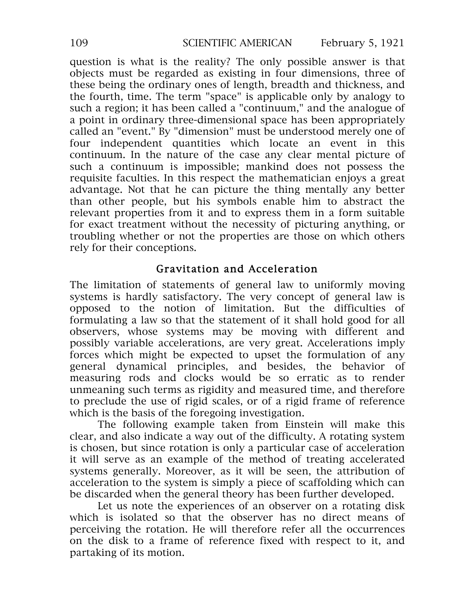question is what is the reality? The only possible answer is that objects must be regarded as existing in four dimensions, three of these being the ordinary ones of length, breadth and thickness, and the fourth, time. The term "space" is applicable only by analogy to such a region; it has been called a "continuum," and the analogue of a point in ordinary three-dimensional space has been appropriately called an "event." By "dimension" must be understood merely one of four independent quantities which locate an event in this continuum. In the nature of the case any clear mental picture of such a continuum is impossible; mankind does not possess the requisite faculties. In this respect the mathematician enjoys a great advantage. Not that he can picture the thing mentally any better than other people, but his symbols enable him to abstract the relevant properties from it and to express them in a form suitable for exact treatment without the necessity of picturing anything, or troubling whether or not the properties are those on which others rely for their conceptions.

# Gravitation and Acceleration

The limitation of statements of general law to uniformly moving systems is hardly satisfactory. The very concept of general law is opposed to the notion of limitation. But the difficulties of formulating a law so that the statement of it shall hold good for all observers, whose systems may be moving with different and possibly variable accelerations, are very great. Accelerations imply forces which might be expected to upset the formulation of any general dynamical principles, and besides, the behavior of measuring rods and clocks would be so erratic as to render unmeaning such terms as rigidity and measured time, and therefore to preclude the use of rigid scales, or of a rigid frame of reference which is the basis of the foregoing investigation.

The following example taken from Einstein will make this clear, and also indicate a way out of the difficulty. A rotating system is chosen, but since rotation is only a particular case of acceleration it will serve as an example of the method of treating accelerated systems generally. Moreover, as it will be seen, the attribution of acceleration to the system is simply a piece of scaffolding which can be discarded when the general theory has been further developed.

Let us note the experiences of an observer on a rotating disk which is isolated so that the observer has no direct means of perceiving the rotation. He will therefore refer all the occurrences on the disk to a frame of reference fixed with respect to it, and partaking of its motion.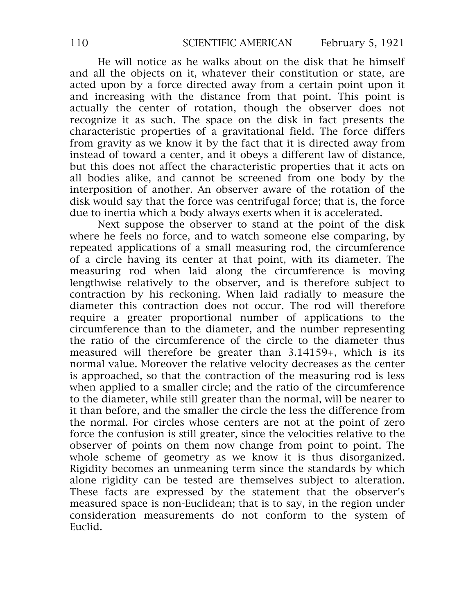He will notice as he walks about on the disk that he himself and all the objects on it, whatever their constitution or state, are acted upon by a force directed away from a certain point upon it and increasing with the distance from that point. This point is actually the center of rotation, though the observer does not recognize it as such. The space on the disk in fact presents the characteristic properties of a gravitational field. The force differs from gravity as we know it by the fact that it is directed away from instead of toward a center, and it obeys a different law of distance, but this does not affect the characteristic properties that it acts on all bodies alike, and cannot be screened from one body by the interposition of another. An observer aware of the rotation of the disk would say that the force was centrifugal force; that is, the force due to inertia which a body always exerts when it is accelerated.

Next suppose the observer to stand at the point of the disk where he feels no force, and to watch someone else comparing, by repeated applications of a small measuring rod, the circumference of a circle having its center at that point, with its diameter. The measuring rod when laid along the circumference is moving lengthwise relatively to the observer, and is therefore subject to contraction by his reckoning. When laid radially to measure the diameter this contraction does not occur. The rod will therefore require a greater proportional number of applications to the circumference than to the diameter, and the number representing the ratio of the circumference of the circle to the diameter thus measured will therefore be greater than 3.14159+, which is its normal value. Moreover the relative velocity decreases as the center is approached, so that the contraction of the measuring rod is less when applied to a smaller circle; and the ratio of the circumference to the diameter, while still greater than the normal, will be nearer to it than before, and the smaller the circle the less the difference from the normal. For circles whose centers are not at the point of zero force the confusion is still greater, since the velocities relative to the observer of points on them now change from point to point. The whole scheme of geometry as we know it is thus disorganized. Rigidity becomes an unmeaning term since the standards by which alone rigidity can be tested are themselves subject to alteration. These facts are expressed by the statement that the observer's measured space is non-Euclidean; that is to say, in the region under consideration measurements do not conform to the system of Euclid.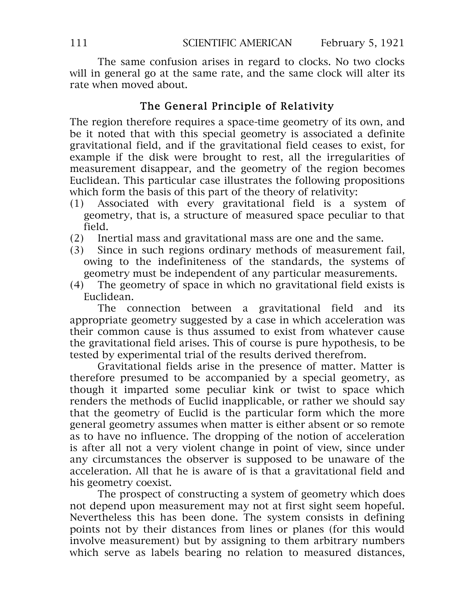The same confusion arises in regard to clocks. No two clocks will in general go at the same rate, and the same clock will alter its rate when moved about.

# The General Principle of Relativity

The region therefore requires a space-time geometry of its own, and be it noted that with this special geometry is associated a definite gravitational field, and if the gravitational field ceases to exist, for example if the disk were brought to rest, all the irregularities of measurement disappear, and the geometry of the region becomes Euclidean. This particular case illustrates the following propositions which form the basis of this part of the theory of relativity:

- (1) Associated with every gravitational field is a system of geometry, that is, a structure of measured space peculiar to that field.
- (2) Inertial mass and gravitational mass are one and the same.
- (3) Since in such regions ordinary methods of measurement fail, owing to the indefiniteness of the standards, the systems of geometry must be independent of any particular measurements.
- (4) The geometry of space in which no gravitational field exists is Euclidean.

The connection between a gravitational field and its appropriate geometry suggested by a case in which acceleration was their common cause is thus assumed to exist from whatever cause the gravitational field arises. This of course is pure hypothesis, to be tested by experimental trial of the results derived therefrom.

Gravitational fields arise in the presence of matter. Matter is therefore presumed to be accompanied by a special geometry, as though it imparted some peculiar kink or twist to space which renders the methods of Euclid inapplicable, or rather we should say that the geometry of Euclid is the particular form which the more general geometry assumes when matter is either absent or so remote as to have no influence. The dropping of the notion of acceleration is after all not a very violent change in point of view, since under any circumstances the observer is supposed to be unaware of the acceleration. All that he is aware of is that a gravitational field and his geometry coexist.

The prospect of constructing a system of geometry which does not depend upon measurement may not at first sight seem hopeful. Nevertheless this has been done. The system consists in defining points not by their distances from lines or planes (for this would involve measurement) but by assigning to them arbitrary numbers which serve as labels bearing no relation to measured distances,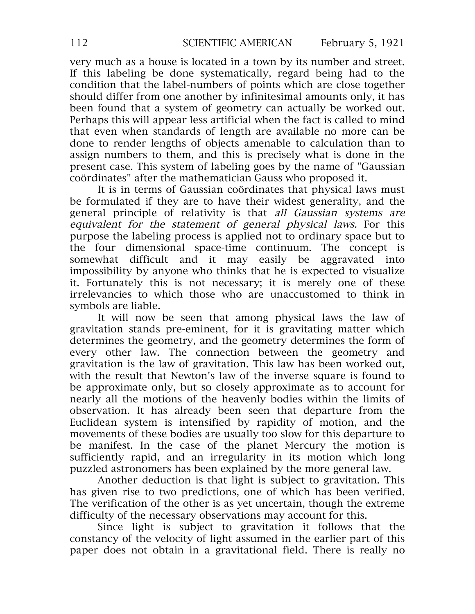very much as a house is located in a town by its number and street. If this labeling be done systematically, regard being had to the condition that the label-numbers of points which are close together should differ from one another by infinitesimal amounts only, it has been found that a system of geometry can actually be worked out. Perhaps this will appear less artificial when the fact is called to mind that even when standards of length are available no more can be done to render lengths of objects amenable to calculation than to assign numbers to them, and this is precisely what is done in the present case. This system of labeling goes by the name of "Gaussian coördinates" after the mathematician Gauss who proposed it.

It is in terms of Gaussian coördinates that physical laws must be formulated if they are to have their widest generality, and the general principle of relativity is that all Gaussian systems are equivalent for the statement of general physical laws. For this purpose the labeling process is applied not to ordinary space but to the four dimensional space-time continuum. The concept is somewhat difficult and it may easily be aggravated into impossibility by anyone who thinks that he is expected to visualize it. Fortunately this is not necessary; it is merely one of these irrelevancies to which those who are unaccustomed to think in symbols are liable.

It will now be seen that among physical laws the law of gravitation stands pre-eminent, for it is gravitating matter which determines the geometry, and the geometry determines the form of every other law. The connection between the geometry and gravitation is the law of gravitation. This law has been worked out, with the result that Newton's law of the inverse square is found to be approximate only, but so closely approximate as to account for nearly all the motions of the heavenly bodies within the limits of observation. It has already been seen that departure from the Euclidean system is intensified by rapidity of motion, and the movements of these bodies are usually too slow for this departure to be manifest. In the case of the planet Mercury the motion is sufficiently rapid, and an irregularity in its motion which long puzzled astronomers has been explained by the more general law.

Another deduction is that light is subject to gravitation. This has given rise to two predictions, one of which has been verified. The verification of the other is as yet uncertain, though the extreme difficulty of the necessary observations may account for this.

Since light is subject to gravitation it follows that the constancy of the velocity of light assumed in the earlier part of this paper does not obtain in a gravitational field. There is really no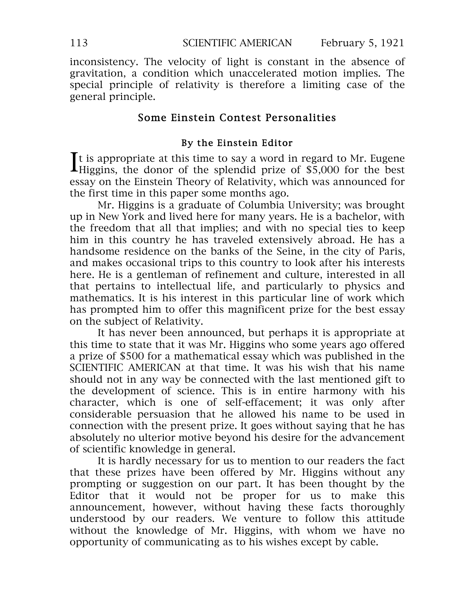inconsistency. The velocity of light is constant in the absence of gravitation, a condition which unaccelerated motion implies. The special principle of relativity is therefore a limiting case of the general principle.

### Some Einstein Contest Personalities

#### By the Einstein Editor

t is appropriate at this time to say a word in regard to Mr. Eugene It is appropriate at this time to say a word in regard to Mr. Eugene Higgins, the donor of the splendid prize of \$5,000 for the best essay on the Einstein Theory of Relativity, which was announced for the first time in this paper some months ago.

Mr. Higgins is a graduate of Columbia University; was brought up in New York and lived here for many years. He is a bachelor, with the freedom that all that implies; and with no special ties to keep him in this country he has traveled extensively abroad. He has a handsome residence on the banks of the Seine, in the city of Paris, and makes occasional trips to this country to look after his interests here. He is a gentleman of refinement and culture, interested in all that pertains to intellectual life, and particularly to physics and mathematics. It is his interest in this particular line of work which has prompted him to offer this magnificent prize for the best essay on the subject of Relativity.

It has never been announced, but perhaps it is appropriate at this time to state that it was Mr. Higgins who some years ago offered a prize of \$500 for a mathematical essay which was published in the SCIENTIFIC AMERICAN at that time. It was his wish that his name should not in any way be connected with the last mentioned gift to the development of science. This is in entire harmony with his character, which is one of self-effacement; it was only after considerable persuasion that he allowed his name to be used in connection with the present prize. It goes without saying that he has absolutely no ulterior motive beyond his desire for the advancement of scientific knowledge in general.

It is hardly necessary for us to mention to our readers the fact that these prizes have been offered by Mr. Higgins without any prompting or suggestion on our part. It has been thought by the Editor that it would not be proper for us to make this announcement, however, without having these facts thoroughly understood by our readers. We venture to follow this attitude without the knowledge of Mr. Higgins, with whom we have no opportunity of communicating as to his wishes except by cable.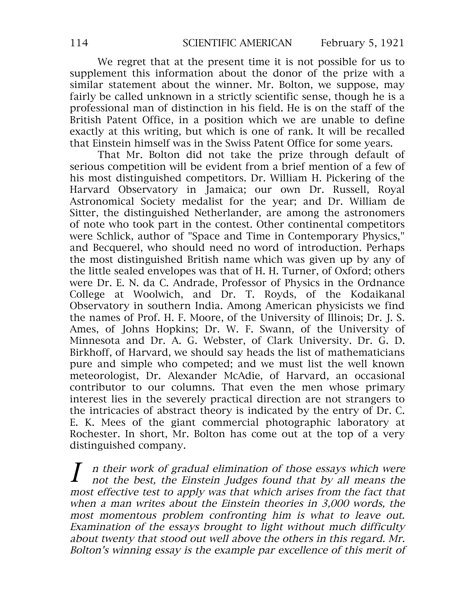We regret that at the present time it is not possible for us to supplement this information about the donor of the prize with a similar statement about the winner. Mr. Bolton, we suppose, may fairly be called unknown in a strictly scientific sense, though he is a professional man of distinction in his field. He is on the staff of the British Patent Office, in a position which we are unable to define exactly at this writing, but which is one of rank. It will be recalled that Einstein himself was in the Swiss Patent Office for some years.

That Mr. Bolton did not take the prize through default of serious competition will be evident from a brief mention of a few of his most distinguished competitors. Dr. William H. Pickering of the Harvard Observatory in Jamaica; our own Dr. Russell, Royal Astronomical Society medalist for the year; and Dr. William de Sitter, the distinguished Netherlander, are among the astronomers of note who took part in the contest. Other continental competitors were Schlick, author of "Space and Time in Contemporary Physics," and Becquerel, who should need no word of introduction. Perhaps the most distinguished British name which was given up by any of the little sealed envelopes was that of H. H. Turner, of Oxford; others were Dr. E. N. da C. Andrade, Professor of Physics in the Ordnance College at Woolwich, and Dr. T. Royds, of the Kodaikanal Observatory in southern India. Among American physicists we find the names of Prof. H. F. Moore, of the University of Illinois; Dr. J. S. Ames, of Johns Hopkins; Dr. W. F. Swann, of the University of Minnesota and Dr. A. G. Webster, of Clark University. Dr. G. D. Birkhoff, of Harvard, we should say heads the list of mathematicians pure and simple who competed; and we must list the well known meteorologist, Dr. Alexander McAdie, of Harvard, an occasional contributor to our columns. That even the men whose primary interest lies in the severely practical direction are not strangers to the intricacies of abstract theory is indicated by the entry of Dr. C. E. K. Mees of the giant commercial photographic laboratory at Rochester. In short, Mr. Bolton has come out at the top of a very distinguished company.

<sup>n</sup> their work of gradual elimination of those essays which were not the best, the Einstein Judges found that by all means the most effective test to apply was that which arises from the fact that when <sup>a</sup> man writes about the Einstein theories in 3,000 words, the most momentous problem confronting him is what to leave out. Examination of the essays brought to light without much difficulty about twenty that stood out well above the others in this regard. Mr. Bolton's winning essay is the example par excellence of this merit of I